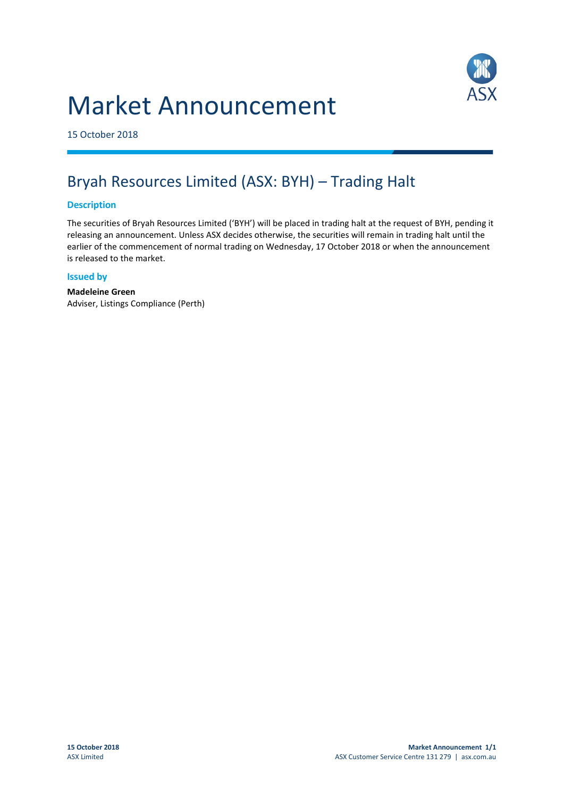# Market Announcement



15 October 2018

## Bryah Resources Limited (ASX: BYH) – Trading Halt

#### **Description**

The securities of Bryah Resources Limited ('BYH') will be placed in trading halt at the request of BYH, pending it releasing an announcement. Unless ASX decides otherwise, the securities will remain in trading halt until the earlier of the commencement of normal trading on Wednesday, 17 October 2018 or when the announcement is released to the market.

#### **Issued by**

**Madeleine Green** Adviser, Listings Compliance (Perth)